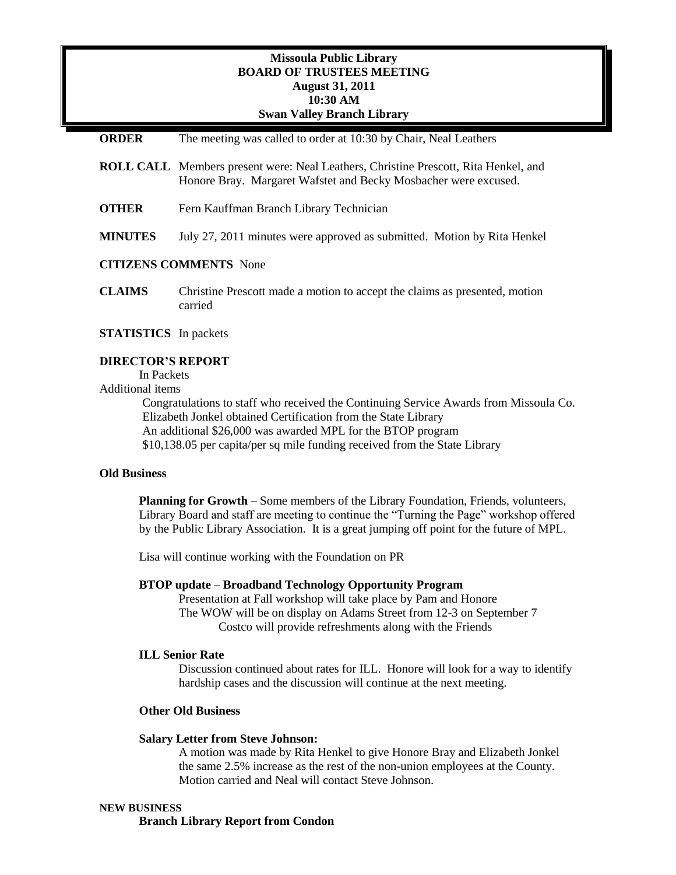# **Missoula Public Library BOARD OF TRUSTEES MEETING August 31, 2011 10:30 AM Swan Valley Branch Library**

| <b>ORDER</b>                  | The meeting was called to order at 10:30 by Chair, Neal Leathers                                                                                              |
|-------------------------------|---------------------------------------------------------------------------------------------------------------------------------------------------------------|
|                               | <b>ROLL CALL</b> Members present were: Neal Leathers, Christine Prescott, Rita Henkel, and<br>Honore Bray. Margaret Wafstet and Becky Mosbacher were excused. |
| <b>OTHER</b>                  | Fern Kauffman Branch Library Technician                                                                                                                       |
| <b>MINUTES</b>                | July 27, 2011 minutes were approved as submitted. Motion by Rita Henkel                                                                                       |
| <b>CITIZENS COMMENTS</b> None |                                                                                                                                                               |
| <b>CLAIMS</b>                 | Christine Prescott made a motion to accept the claims as presented, motion<br>carried                                                                         |

# **STATISTICS** In packets

## **DIRECTOR'S REPORT**

In Packets Additional items

> Congratulations to staff who received the Continuing Service Awards from Missoula Co. Elizabeth Jonkel obtained Certification from the State Library An additional \$26,000 was awarded MPL for the BTOP program \$10,138.05 per capita/per sq mile funding received from the State Library

## **Old Business**

**Planning for Growth –** Some members of the Library Foundation, Friends, volunteers, Library Board and staff are meeting to continue the "Turning the Page" workshop offered by the Public Library Association. It is a great jumping off point for the future of MPL.

Lisa will continue working with the Foundation on PR

# **BTOP update – Broadband Technology Opportunity Program**

Presentation at Fall workshop will take place by Pam and Honore The WOW will be on display on Adams Street from 12-3 on September 7 Costco will provide refreshments along with the Friends

#### **ILL Senior Rate**

Discussion continued about rates for ILL. Honore will look for a way to identify hardship cases and the discussion will continue at the next meeting.

### **Other Old Business**

#### **Salary Letter from Steve Johnson:**

A motion was made by Rita Henkel to give Honore Bray and Elizabeth Jonkel the same 2.5% increase as the rest of the non-union employees at the County. Motion carried and Neal will contact Steve Johnson.

#### **NEW BUSINESS**

**Branch Library Report from Condon**